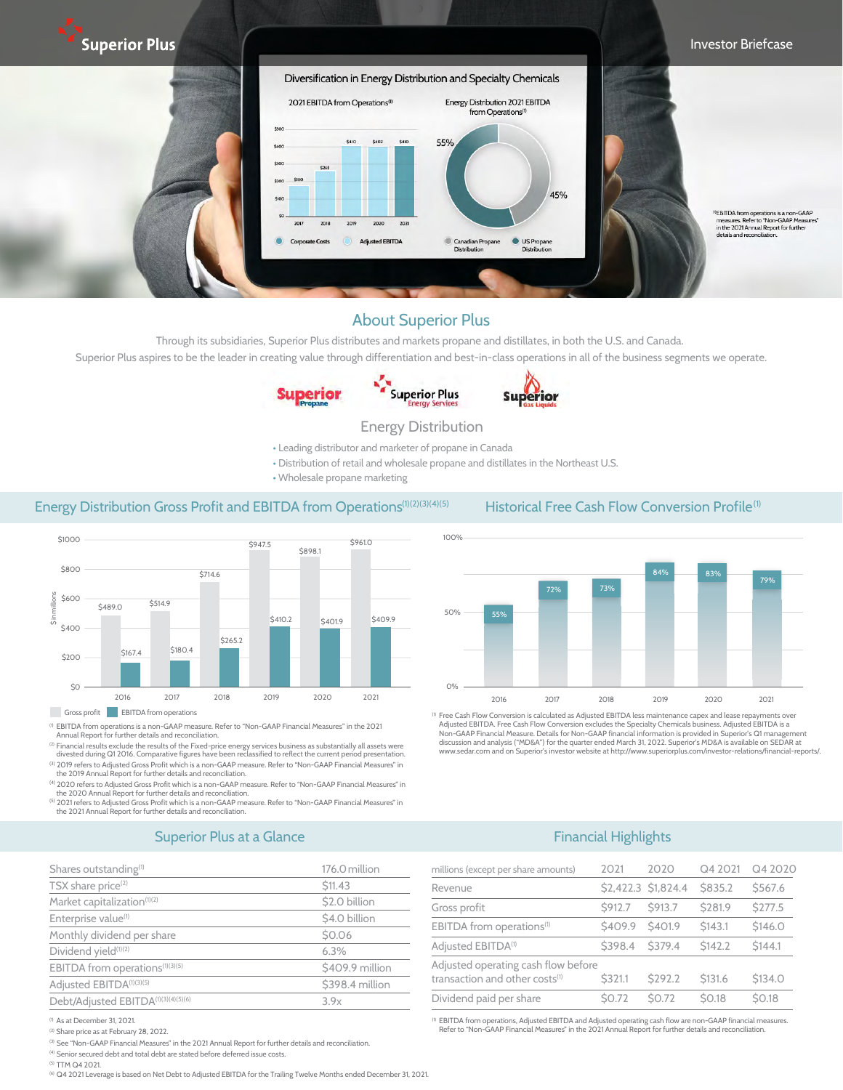

#### About Superior Plus

Through its subsidiaries, Superior Plus distributes and markets propane and distillates, in both the U.S. and Canada. Superior Plus aspires to be the leader in creating value through differentiation and best-in-class operations in all of the business segments we operate.





# **Superior**

#### Energy Distribution

- Leading distributor and marketer of propane in Canada
- Distribution of retail and wholesale propane and distillates in the Northeast U.S.
- Wholesale propane marketing

## Energy Distribution Gross Profit and EBITDA from Operations<sup>(1)(2)(3)(4)(5)</sup> Historical Free Cash Flow Conversion Profile<sup>(1)</sup>



Gross profit **EBITDA** from operations

(1) EBITDA from operations is a non-GAAP measure. Refer to "Non-GAAP Financial Measures" in the 2021 Annual Report for further details and reconciliation.

<sup>12</sup> Financial results exclude the results of the Fixed-price energy services business as substantially all assets were<br>divested during Q1 2016. Comparative figures have been reclassified to reflect the current period pres (3) 2019 refers to Adjusted Gross Profit which is a non-GAAP measure. Refer to "Non-GAAP Financial Measures" in

the 2019 Annual Report for further details and reconciliation. (4) 2020 refers to Adjusted Gross Profit which is a non-GAAP measure. Refer to "Non-GAAP Financial Measures" in

the 2020 Annual Report for further details and reconciliation. (5) 2021 refers to Adjusted Gross Profit which is a non-GAAP measure. Refer to "Non-GAAP Financial Measures" in

the 2021 Annual Report for further details and reconciliation.

## Superior Plus at a Glance and the second service of the BITDA from operations of the BITDA from operations of the BITDA from operations of the BITDA from operations of the BITDA from operations of the BITDA from operations

| Shares outstanding <sup>(1)</sup>               | 176.0 million<br>\$11.43 |  |  |
|-------------------------------------------------|--------------------------|--|--|
| TSX share price <sup>(2)</sup>                  |                          |  |  |
| Market capitalization <sup>(1)(2)</sup>         | \$2.0 billion            |  |  |
| Enterprise value <sup>(1)</sup>                 | \$4.0 billion            |  |  |
| Monthly dividend per share                      | \$0.06                   |  |  |
| Dividend yield <sup>(1)(2)</sup>                | 6.3%                     |  |  |
| EBITDA from operations <sup>(1)(3)(5)</sup>     | \$409.9 million          |  |  |
| Adjusted EBITDA <sup>(1)(3)(5)</sup>            | \$398.4 million          |  |  |
| Debt/Adjusted EBITDA <sup>(1)(3)(4)(5)(6)</sup> | 3.9x                     |  |  |
|                                                 |                          |  |  |

<sup>(1)</sup> As at December 31, 2021.

(2) Share price as at February 28, 2022.

(3) See "Non-GAAP Financial Measures" in the 2021 Annual Report for further details and reconciliation.

(4) Senior secured debt and total debt are stated before deferred issue costs.

(5) TTM Q4 2021.

<sup>(6)</sup> Q4 2021 Leverage is based on Net Debt to Adjusted EBITDA for the Trailing Twelve Months ended December 31, 2021.



<sup>(1)</sup> Free Cash Flow Conversion is calculated as Adjusted EBITDA less maintenance capex and lease repayments over Adjusted EBITDA. Free Cash Flow Conversion excludes the Specialty Chemicals business. Adjusted EBITDA is a<br>Non-GAAP Financial Measure. Details for Non-GAAP financial information is provided in Superior's Q1 management<br>disc

#### Financial Highlights

| millions (except per share amounts)                                               | 2021    | 2020                | Q4 2021            | Q4 2020            |
|-----------------------------------------------------------------------------------|---------|---------------------|--------------------|--------------------|
| Revenue                                                                           |         | \$2,422.3 \$1,824.4 | <b>\$835.2</b>     | \$567.6            |
| Gross profit                                                                      | S912.7  | <b>S913.7</b>       | <b>\$281.9</b>     | <b>S277.5</b>      |
| EBITDA from operations <sup>(1)</sup>                                             | \$409.9 | S <sub>401.9</sub>  | \$143.1            | \$146.0            |
| Adjusted EBITDA <sup>(1)</sup>                                                    | \$398.4 | S379.4              | S <sub>142.2</sub> | S <sub>144.1</sub> |
| Adjusted operating cash flow before<br>transaction and other costs <sup>(1)</sup> | S321.1  | <b>S292.2</b>       | <b>\$131.6</b>     | <b>\$134.0</b>     |
| Dividend paid per share                                                           | \$0.72  | <b>SO.72</b>        | <b>SO.18</b>       | <b>SO.18</b>       |

<sup>(1)</sup> EBITDA from operations, Adjusted EBITDA and Adjusted operating cash flow are non-GAAP financial measures.<br>Refer to "Non-GAAP Financial Measures" in the 2021 Annual Report for further details and reconciliation.